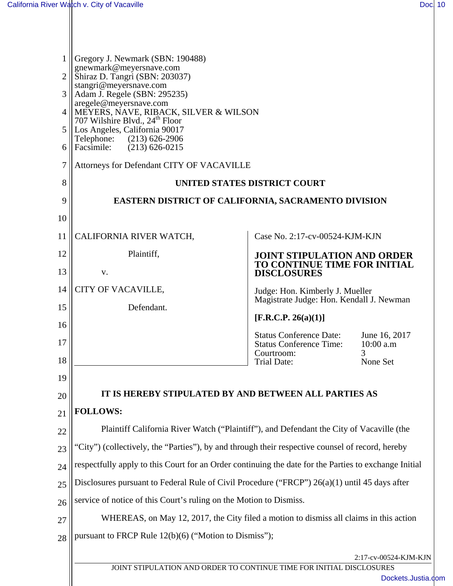| 1<br>$\overline{2}$<br>3<br>4<br>5<br>6<br>7 | Gregory J. Newmark (SBN: 190488)<br>gnewmark@meyersnave.com<br>Shiraz D. Tangri (SBN: 203037)<br>stangri@meyersnave.com<br>Adam J. Regele (SBN: 295235)<br>aregele@meyersnave.com<br>MEYERS, NAVE, RIBACK, SILVER & WILSON<br>707 Wilshire Blvd., 24 <sup>th</sup> Floor<br>Los Angeles, California 90017<br>Telephone: (213) 626-2906<br>Facsimile:<br>$(213)$ 626-0215 |                                                                                          |                                 |  |  |  |
|----------------------------------------------|--------------------------------------------------------------------------------------------------------------------------------------------------------------------------------------------------------------------------------------------------------------------------------------------------------------------------------------------------------------------------|------------------------------------------------------------------------------------------|---------------------------------|--|--|--|
| 8                                            | Attorneys for Defendant CITY OF VACAVILLE<br>UNITED STATES DISTRICT COURT                                                                                                                                                                                                                                                                                                |                                                                                          |                                 |  |  |  |
| 9                                            | <b>EASTERN DISTRICT OF CALIFORNIA, SACRAMENTO DIVISION</b>                                                                                                                                                                                                                                                                                                               |                                                                                          |                                 |  |  |  |
| 10                                           |                                                                                                                                                                                                                                                                                                                                                                          |                                                                                          |                                 |  |  |  |
| 11                                           | CALIFORNIA RIVER WATCH,                                                                                                                                                                                                                                                                                                                                                  | Case No. 2:17-cv-00524-KJM-KJN                                                           |                                 |  |  |  |
| 12<br>13                                     | Plaintiff,<br>V.                                                                                                                                                                                                                                                                                                                                                         | <b>JOINT STIPULATION AND ORDER</b><br>TO CONTINUE TIME FOR INITIAL<br><b>DISCLOSURES</b> |                                 |  |  |  |
| 14                                           | CITY OF VACAVILLE,                                                                                                                                                                                                                                                                                                                                                       |                                                                                          |                                 |  |  |  |
| 15                                           | Defendant.                                                                                                                                                                                                                                                                                                                                                               | Judge: Hon. Kimberly J. Mueller<br>Magistrate Judge: Hon. Kendall J. Newman              |                                 |  |  |  |
| 16                                           | [F.R.C.P. 26(a)(1)]                                                                                                                                                                                                                                                                                                                                                      |                                                                                          |                                 |  |  |  |
| 17                                           |                                                                                                                                                                                                                                                                                                                                                                          | <b>Status Conference Date:</b><br><b>Status Conference Time:</b><br>Courtroom:           | June 16, 2017<br>10:00 a.m<br>3 |  |  |  |
| 18                                           |                                                                                                                                                                                                                                                                                                                                                                          | Trial Date:                                                                              | None Set                        |  |  |  |
| 19                                           |                                                                                                                                                                                                                                                                                                                                                                          |                                                                                          |                                 |  |  |  |
| 20                                           | IT IS HEREBY STIPULATED BY AND BETWEEN ALL PARTIES AS                                                                                                                                                                                                                                                                                                                    |                                                                                          |                                 |  |  |  |
| 21                                           | <b>FOLLOWS:</b>                                                                                                                                                                                                                                                                                                                                                          |                                                                                          |                                 |  |  |  |
| 22                                           | Plaintiff California River Watch ("Plaintiff"), and Defendant the City of Vacaville (the                                                                                                                                                                                                                                                                                 |                                                                                          |                                 |  |  |  |
| 23                                           | 'City'') (collectively, the "Parties"), by and through their respective counsel of record, hereby                                                                                                                                                                                                                                                                        |                                                                                          |                                 |  |  |  |
| 24                                           | respectfully apply to this Court for an Order continuing the date for the Parties to exchange Initial                                                                                                                                                                                                                                                                    |                                                                                          |                                 |  |  |  |
| 25                                           | Disclosures pursuant to Federal Rule of Civil Procedure ("FRCP") 26(a)(1) until 45 days after                                                                                                                                                                                                                                                                            |                                                                                          |                                 |  |  |  |
| 26                                           | service of notice of this Court's ruling on the Motion to Dismiss.                                                                                                                                                                                                                                                                                                       |                                                                                          |                                 |  |  |  |
| 27                                           | WHEREAS, on May 12, 2017, the City filed a motion to dismiss all claims in this action                                                                                                                                                                                                                                                                                   |                                                                                          |                                 |  |  |  |
| 28                                           | pursuant to FRCP Rule 12(b)(6) ("Motion to Dismiss");<br>2:17-cv-00524-KJM-KJN<br>JOINT STIPULATION AND ORDER TO CONTINUE TIME FOR INITIAL DISCLOSURES<br>Dockets.Justia.com                                                                                                                                                                                             |                                                                                          |                                 |  |  |  |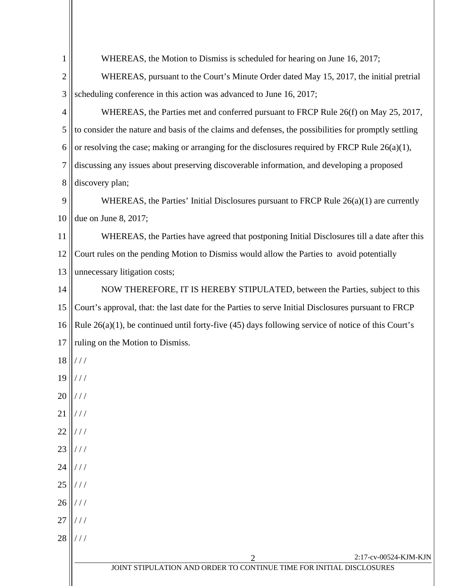| 1              | WHEREAS, the Motion to Dismiss is scheduled for hearing on June 16, 2017;                               |  |  |  |
|----------------|---------------------------------------------------------------------------------------------------------|--|--|--|
| $\overline{2}$ | WHEREAS, pursuant to the Court's Minute Order dated May 15, 2017, the initial pretrial                  |  |  |  |
| 3              | scheduling conference in this action was advanced to June 16, 2017;                                     |  |  |  |
| 4              | WHEREAS, the Parties met and conferred pursuant to FRCP Rule 26(f) on May 25, 2017,                     |  |  |  |
| 5              | to consider the nature and basis of the claims and defenses, the possibilities for promptly settling    |  |  |  |
| 6              | or resolving the case; making or arranging for the disclosures required by FRCP Rule $26(a)(1)$ ,       |  |  |  |
| $\overline{7}$ | discussing any issues about preserving discoverable information, and developing a proposed              |  |  |  |
| 8              | discovery plan;                                                                                         |  |  |  |
| 9              | WHEREAS, the Parties' Initial Disclosures pursuant to FRCP Rule $26(a)(1)$ are currently                |  |  |  |
| 10             | due on June 8, 2017;                                                                                    |  |  |  |
| 11             | WHEREAS, the Parties have agreed that postponing Initial Disclosures till a date after this             |  |  |  |
| 12             | Court rules on the pending Motion to Dismiss would allow the Parties to avoid potentially               |  |  |  |
| 13             | unnecessary litigation costs;                                                                           |  |  |  |
| 14             | NOW THEREFORE, IT IS HEREBY STIPULATED, between the Parties, subject to this                            |  |  |  |
| 15             | Court's approval, that: the last date for the Parties to serve Initial Disclosures pursuant to FRCP     |  |  |  |
| 16             | Rule $26(a)(1)$ , be continued until forty-five (45) days following service of notice of this Court's   |  |  |  |
| 17             | ruling on the Motion to Dismiss.                                                                        |  |  |  |
| 18             | ///                                                                                                     |  |  |  |
| 19             |                                                                                                         |  |  |  |
| 20             |                                                                                                         |  |  |  |
| 21             |                                                                                                         |  |  |  |
| 22             |                                                                                                         |  |  |  |
| 23             |                                                                                                         |  |  |  |
| 24             |                                                                                                         |  |  |  |
| 25             |                                                                                                         |  |  |  |
| 26             |                                                                                                         |  |  |  |
| 27             |                                                                                                         |  |  |  |
| 28             | ///                                                                                                     |  |  |  |
|                | 2:17-cv-00524-KJM-KJN<br>2<br>IOINT STIDUL ATION AND ORDER TO CONTINUE TIME FOR INITIAL<br>DISCI OSHERS |  |  |  |